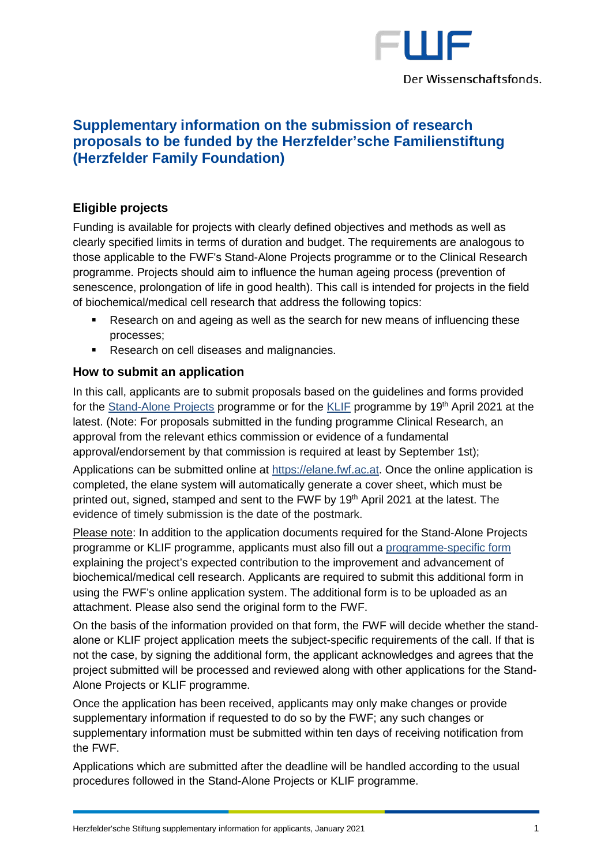

# **Supplementary information on the submission of research proposals to be funded by the Herzfelder'sche Familienstiftung (Herzfelder Family Foundation)**

## **Eligible projects**

Funding is available for projects with clearly defined objectives and methods as well as clearly specified limits in terms of duration and budget. The requirements are analogous to those applicable to the FWF's Stand-Alone Projects programme or to the Clinical Research programme. Projects should aim to influence the human ageing process (prevention of senescence, prolongation of life in good health). This call is intended for projects in the field of biochemical/medical cell research that address the following topics:

- Research on and ageing as well as the search for new means of influencing these processes;
- Research on cell diseases and malignancies.

## **How to submit an application**

In this call, applicants are to submit proposals based on the guidelines and forms provided for the [Stand-Alone Projects](http://www.fwf.ac.at/en/research-funding/application/stand-alone-projects/) programme or for the [KLIF](https://www.fwf.ac.at/en/research-funding/application/programme-clinical-research-klif/) programme by 19<sup>th</sup> April 2021 at the latest. (Note: For proposals submitted in the funding programme Clinical Research, an approval from the relevant ethics commission or evidence of a fundamental approval/endorsement by that commission is required at least by September 1st);

Applications can be submitted online at [https://elane.fwf.ac.at.](https://elane.fwf.ac.at/) Once the online application is completed, the elane system will automatically generate a cover sheet, which must be printed out, signed, stamped and sent to the FWF by 19<sup>th</sup> April 2021 at the latest. The evidence of timely submission is the date of the postmark.

Please note: In addition to the application documents required for the Stand-Alone Projects programme or KLIF programme, applicants must also fill out a [programme-specific form](https://www.fwf.ac.at/fileadmin/files/Dokumente/Antragstellung/Projekte_Herzfelder-Stiftung/projekte_herzfelder-stiftung_programmspezifische-daten.pdf) explaining the project's expected contribution to the improvement and advancement of biochemical/medical cell research. Applicants are required to submit this additional form in using the FWF's online application system. The additional form is to be uploaded as an attachment. Please also send the original form to the FWF.

On the basis of the information provided on that form, the FWF will decide whether the standalone or KLIF project application meets the subject-specific requirements of the call. If that is not the case, by signing the additional form, the applicant acknowledges and agrees that the project submitted will be processed and reviewed along with other applications for the Stand-Alone Projects or KLIF programme.

Once the application has been received, applicants may only make changes or provide supplementary information if requested to do so by the FWF; any such changes or supplementary information must be submitted within ten days of receiving notification from the FWF.

Applications which are submitted after the deadline will be handled according to the usual procedures followed in the Stand-Alone Projects or KLIF programme.